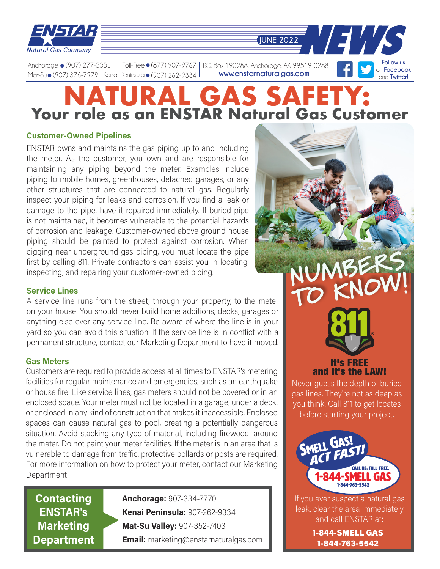

**www.enstarnaturalgas.com Follow us**  on **Facebook** Anchorage • (907) 277-5551 Mat-Su● (907) 376-7979 Kenai Peninsula● (907) 262-9334 Toll-Free ● (877) 907-9767 P.O. Box 190288, Anchorage, AK 99519-0288

# **NURAL GAS SAFET Your role as an ENSTAR Natural Gas Customer**

**JUNE 2022** 

### **Customer-Owned Pipelines**

ENSTAR owns and maintains the gas piping up to and including the meter. As the customer, you own and are responsible for maintaining any piping beyond the meter. Examples include piping to mobile homes, greenhouses, detached garages, or any other structures that are connected to natural gas. Regularly inspect your piping for leaks and corrosion. If you find a leak or damage to the pipe, have it repaired immediately. If buried pipe is not maintained, it becomes vulnerable to the potential hazards of corrosion and leakage. Customer-owned above ground house piping should be painted to protect against corrosion. When digging near underground gas piping, you must locate the pipe first by calling 811. Private contractors can assist you in locating, inspecting, and repairing your customer-owned piping.

#### **Service Lines**

A service line runs from the street, through your property, to the meter on your house. You should never build home additions, decks, garages or anything else over any service line. Be aware of where the line is in your yard so you can avoid this situation. If the service line is in conflict with a permanent structure, contact our Marketing Department to have it moved.

#### **Gas Meters**

Customers are required to provide access at all times to ENSTAR's metering facilities for regular maintenance and emergencies, such as an earthquake or house fire. Like service lines, gas meters should not be covered or in an enclosed space. Your meter must not be located in a garage, under a deck, or enclosed in any kind of construction that makes it inaccessible. Enclosed spaces can cause natural gas to pool, creating a potentially dangerous situation. Avoid stacking any type of material, including firewood, around the meter. Do not paint your meter facilities. If the meter is in an area that is vulnerable to damage from traffic, protective bollards or posts are required. For more information on how to protect your meter, contact our Marketing Department.

**Contacting ENSTAR's Marketing Department** **Anchorage:** 907-334-7770 **Kenai Peninsula:** 907-262-9334 **Mat-Su Valley:** 907-352-7403 **Email:** marketing@enstarnaturalgas.com

# It's FREE and it's the LAW!

NUMBERS

TO KNOW!

Never guess the depth of buried gas lines. They're not as deep as you think. Call 811 to get locates before starting your project.



If you ever suspect a natural gas leak, clear the area immediately and call ENSTAR at:

> 1-844-SMELL GAS 1-844-763-5542